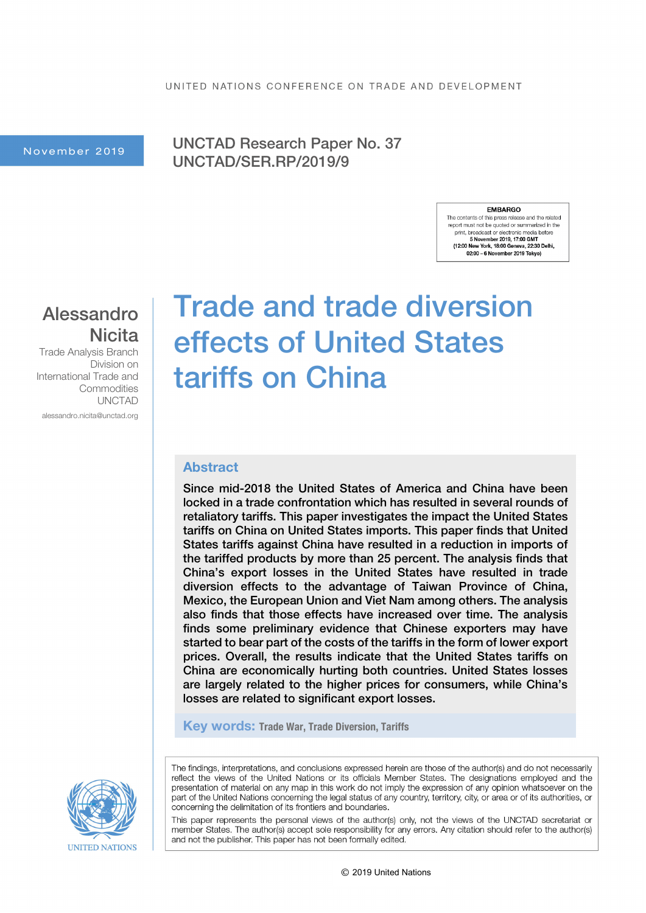November 2019 | UNCTAD Research Paper No. 37 UNCTAD/SER.RP/2019/9

#### **EMBARGO**

The contents of this press release and the related report must not be quoted or summarized in the print, broadcast or electronic media before 5 November 2019, 17:00 GMT 5 November 2019, 17:00 GMI<br>(12:00 New York, 18:00 Geneva, 22:30 Delhi, 02:00 - 6 November 2019 Tokyo)

### Alessandro **Nicita**

Trade Analysis Branch Division on International Trade and **Commodities** UNCTAD alessandro.nicita@unctad.org

# Trade and trade diversion effects of United States tariffs on China

#### Abstract

Since mid-2018 the United States of America and China have been locked in a trade confrontation which has resulted in several rounds of retaliatory tariffs. This paper investigates the impact the United States tariffs on China on United States imports. This paper finds that United States tariffs against China have resulted in a reduction in imports of the tariffed products by more than 25 percent. The analysis finds that China's export losses in the United States have resulted in trade diversion effects to the advantage of Taiwan Province of China, Mexico, the European Union and Viet Nam among others. The analysis also finds that those effects have increased over time. The analysis finds some preliminary evidence that Chinese exporters may have started to bear part of the costs of the tariffs in the form of lower export prices. Overall, the results indicate that the United States tariffs on China are economically hurting both countries. United States losses are largely related to the higher prices for consumers, while China's losses are related to significant export losses.

Key words: Trade War, Trade Diversion, Tariffs

The findings, interpretations, and conclusions expressed herein are those of the author(s) and do not necessarily reflect the views of the United Nations or its officials Member States. The designations employed and the presentation of material on any map in this work do not imply the expression of any opinion whatsoever on the part of the United Nations concerning the legal status of any country, territory, city, or area or of its authorities, or concerning the delimitation of its frontiers and boundaries.

This paper represents the personal views of the author(s) only, not the views of the UNCTAD secretariat or member States. The author(s) accept sole responsibility for any errors. Any citation should refer to the author(s) and not the publisher. This paper has not been formally edited.

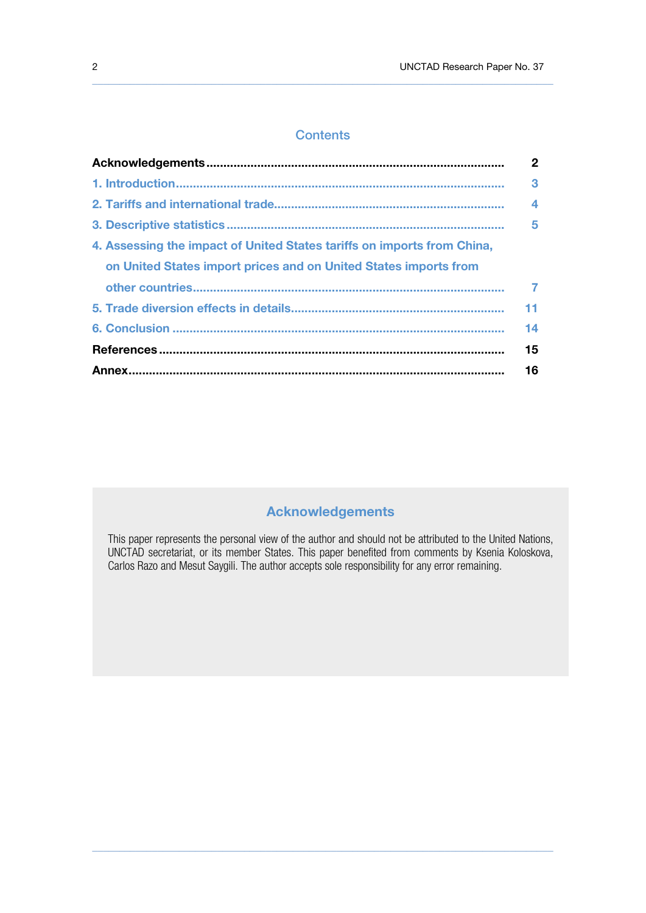#### **Contents**

 $\_$  , and the state of the state of the state of the state of the state of the state of the state of the state of the state of the state of the state of the state of the state of the state of the state of the state of the

|                                                                         | $\mathbf{2}$     |
|-------------------------------------------------------------------------|------------------|
|                                                                         | 3                |
|                                                                         | $\boldsymbol{A}$ |
|                                                                         | 5                |
| 4. Assessing the impact of United States tariffs on imports from China, |                  |
| on United States import prices and on United States imports from        |                  |
|                                                                         |                  |
|                                                                         | 11               |
|                                                                         | 14               |
|                                                                         | 15               |
|                                                                         | 16               |

### Acknowledgements

This paper represents the personal view of the author and should not be attributed to the United Nations, UNCTAD secretariat, or its member States. This paper benefited from comments by Ksenia Koloskova, Carlos Razo and Mesut Saygili. The author accepts sole responsibility for any error remaining.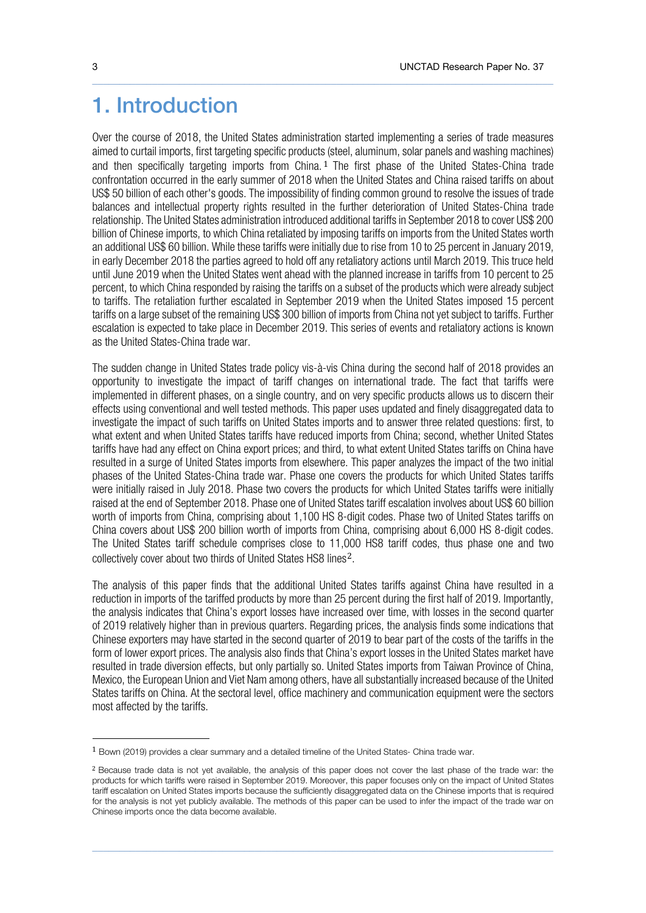### 1. Introduction

Over the course of 2018, the United States administration started implementing a series of trade measures aimed to curtail imports, first targeting specific products (steel, aluminum, solar panels and washing machines) and then specifically targeting imports from China.<sup>[1](#page-2-0)</sup> The first phase of the United States-China trade confrontation occurred in the early summer of 2018 when the United States and China raised tariffs on about US\$ 50 billion of each other's goods. The impossibility of finding common ground to resolve the issues of trade balances and intellectual property rights resulted in the further deterioration of United States-China trade relationship. The United States administration introduced additional tariffs in September 2018 to cover US\$ 200 billion of Chinese imports, to which China retaliated by imposing tariffs on imports from the United States worth an additional US\$ 60 billion. While these tariffs were initially due to rise from 10 to 25 percent in January 2019, in early December 2018 the parties agreed to hold off any retaliatory actions until March 2019. This truce held until June 2019 when the United States went ahead with the planned increase in tariffs from 10 percent to 25 percent, to which China responded by raising the tariffs on a subset of the products which were already subject to tariffs. The retaliation further escalated in September 2019 when the United States imposed 15 percent tariffs on a large subset of the remaining US\$ 300 billion of imports from China not yet subject to tariffs. Further escalation is expected to take place in December 2019. This series of events and retaliatory actions is known as the United States-China trade war.

 $\_$  , and the state of the state of the state of the state of the state of the state of the state of the state of the state of the state of the state of the state of the state of the state of the state of the state of the

The sudden change in United States trade policy vis-à-vis China during the second half of 2018 provides an opportunity to investigate the impact of tariff changes on international trade. The fact that tariffs were implemented in different phases, on a single country, and on very specific products allows us to discern their effects using conventional and well tested methods. This paper uses updated and finely disaggregated data to investigate the impact of such tariffs on United States imports and to answer three related questions: first, to what extent and when United States tariffs have reduced imports from China; second, whether United States tariffs have had any effect on China export prices; and third, to what extent United States tariffs on China have resulted in a surge of United States imports from elsewhere. This paper analyzes the impact of the two initial phases of the United States-China trade war. Phase one covers the products for which United States tariffs were initially raised in July 2018. Phase two covers the products for which United States tariffs were initially raised at the end of September 2018. Phase one of United States tariff escalation involves about US\$ 60 billion worth of imports from China, comprising about 1,100 HS 8-digit codes. Phase two of United States tariffs on China covers about US\$ 200 billion worth of imports from China, comprising about 6,000 HS 8-digit codes. The United States tariff schedule comprises close to 11,000 HS8 tariff codes, thus phase one and two collectively cover about two thirds of United States HS8 lines[2](#page-2-1).

The analysis of this paper finds that the additional United States tariffs against China have resulted in a reduction in imports of the tariffed products by more than 25 percent during the first half of 2019. Importantly, the analysis indicates that China's export losses have increased over time, with losses in the second quarter of 2019 relatively higher than in previous quarters. Regarding prices, the analysis finds some indications that Chinese exporters may have started in the second quarter of 2019 to bear part of the costs of the tariffs in the form of lower export prices. The analysis also finds that China's export losses in the United States market have resulted in trade diversion effects, but only partially so. United States imports from Taiwan Province of China, Mexico, the European Union and Viet Nam among others, have all substantially increased because of the United States tariffs on China. At the sectoral level, office machinery and communication equipment were the sectors most affected by the tariffs.

<span id="page-2-0"></span><sup>1</sup> Bown (2019) provides a clear summary and a detailed timeline of the United States- China trade war.

<span id="page-2-1"></span><sup>&</sup>lt;sup>2</sup> Because trade data is not yet available, the analysis of this paper does not cover the last phase of the trade war: the products for which tariffs were raised in September 2019. Moreover, this paper focuses only on the impact of United States tariff escalation on United States imports because the sufficiently disaggregated data on the Chinese imports that is required for the analysis is not yet publicly available. The methods of this paper can be used to infer the impact of the trade war on Chinese imports once the data become available.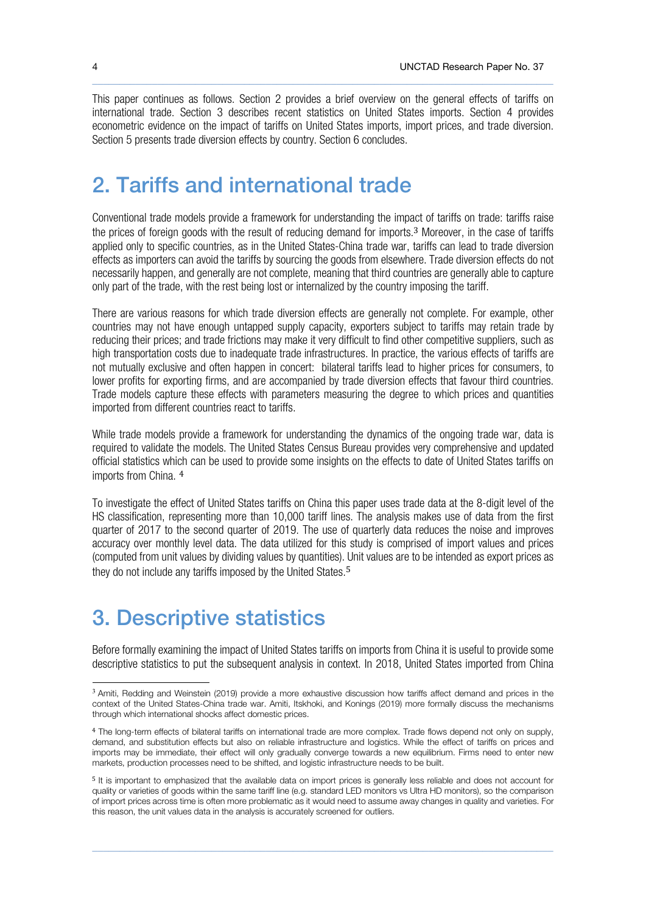This paper continues as follows. Section 2 provides a brief overview on the general effects of tariffs on international trade. Section 3 describes recent statistics on United States imports. Section 4 provides econometric evidence on the impact of tariffs on United States imports, import prices, and trade diversion. Section 5 presents trade diversion effects by country. Section 6 concludes.

 $\_$  , and the state of the state of the state of the state of the state of the state of the state of the state of the state of the state of the state of the state of the state of the state of the state of the state of the

# 2. Tariffs and international trade

Conventional trade models provide a framework for understanding the impact of tariffs on trade: tariffs raise the prices of foreign goods with the result of reducing demand for imports.[3](#page-3-0) Moreover, in the case of tariffs applied only to specific countries, as in the United States-China trade war, tariffs can lead to trade diversion effects as importers can avoid the tariffs by sourcing the goods from elsewhere. Trade diversion effects do not necessarily happen, and generally are not complete, meaning that third countries are generally able to capture only part of the trade, with the rest being lost or internalized by the country imposing the tariff.

There are various reasons for which trade diversion effects are generally not complete. For example, other countries may not have enough untapped supply capacity, exporters subject to tariffs may retain trade by reducing their prices; and trade frictions may make it very difficult to find other competitive suppliers, such as high transportation costs due to inadequate trade infrastructures. In practice, the various effects of tariffs are not mutually exclusive and often happen in concert: bilateral tariffs lead to higher prices for consumers, to lower profits for exporting firms, and are accompanied by trade diversion effects that favour third countries. Trade models capture these effects with parameters measuring the degree to which prices and quantities imported from different countries react to tariffs.

While trade models provide a framework for understanding the dynamics of the ongoing trade war, data is required to validate the models. The United States Census Bureau provides very comprehensive and updated official statistics which can be used to provide some insights on the effects to date of United States tariffs on imports from China. [4](#page-3-1)

To investigate the effect of United States tariffs on China this paper uses trade data at the 8-digit level of the HS classification, representing more than 10,000 tariff lines. The analysis makes use of data from the first quarter of 2017 to the second quarter of 2019. The use of quarterly data reduces the noise and improves accuracy over monthly level data. The data utilized for this study is comprised of import values and prices (computed from unit values by dividing values by quantities). Unit values are to be intended as export prices as they do not include any tariffs imposed by the United States. [5](#page-3-2)

# 3. Descriptive statistics

Before formally examining the impact of United States tariffs on imports from China it is useful to provide some descriptive statistics to put the subsequent analysis in context. In 2018, United States imported from China

<span id="page-3-0"></span><sup>&</sup>lt;sup>3</sup> Amiti, Redding and Weinstein (2019) provide a more exhaustive discussion how tariffs affect demand and prices in the context of the United States-China trade war. Amiti, Itskhoki, and Konings (2019) more formally discuss the mechanisms through which international shocks affect domestic prices.

<span id="page-3-1"></span><sup>4</sup> The long-term effects of bilateral tariffs on international trade are more complex. Trade flows depend not only on supply, demand, and substitution effects but also on reliable infrastructure and logistics. While the effect of tariffs on prices and imports may be immediate, their effect will only gradually converge towards a new equilibrium. Firms need to enter new markets, production processes need to be shifted, and logistic infrastructure needs to be built.

<span id="page-3-2"></span><sup>5</sup> It is important to emphasized that the available data on import prices is generally less reliable and does not account for quality or varieties of goods within the same tariff line (e.g. standard LED monitors vs Ultra HD monitors), so the comparison of import prices across time is often more problematic as it would need to assume away changes in quality and varieties. For this reason, the unit values data in the analysis is accurately screened for outliers.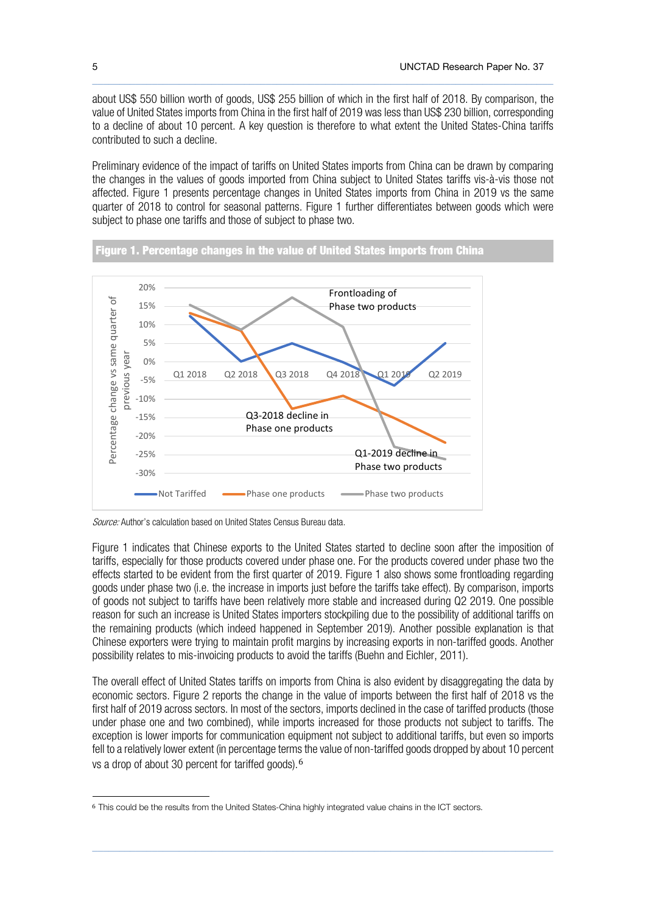about US\$ 550 billion worth of goods, US\$ 255 billion of which in the first half of 2018. By comparison, the value of United States imports from China in the first half of 2019 was less than US\$ 230 billion, corresponding to a decline of about 10 percent. A key question is therefore to what extent the United States-China tariffs contributed to such a decline.

 $\_$  , and the state of the state of the state of the state of the state of the state of the state of the state of the state of the state of the state of the state of the state of the state of the state of the state of the

Preliminary evidence of the impact of tariffs on United States imports from China can be drawn by comparing the changes in the values of goods imported from China subject to United States tariffs vis-à-vis those not affected. Figure 1 presents percentage changes in United States imports from China in 2019 vs the same quarter of 2018 to control for seasonal patterns. Figure 1 further differentiates between goods which were subject to phase one tariffs and those of subject to phase two.





Source: Author's calculation based on United States Census Bureau data.

Figure 1 indicates that Chinese exports to the United States started to decline soon after the imposition of tariffs, especially for those products covered under phase one. For the products covered under phase two the effects started to be evident from the first quarter of 2019. Figure 1 also shows some frontloading regarding goods under phase two (i.e. the increase in imports just before the tariffs take effect). By comparison, imports of goods not subject to tariffs have been relatively more stable and increased during Q2 2019. One possible reason for such an increase is United States importers stockpiling due to the possibility of additional tariffs on the remaining products (which indeed happened in September 2019). Another possible explanation is that Chinese exporters were trying to maintain profit margins by increasing exports in non-tariffed goods. Another possibility relates to mis-invoicing products to avoid the tariffs (Buehn and Eichler, 2011).

The overall effect of United States tariffs on imports from China is also evident by disaggregating the data by economic sectors. Figure 2 reports the change in the value of imports between the first half of 2018 vs the first half of 2019 across sectors. In most of the sectors, imports declined in the case of tariffed products (those under phase one and two combined), while imports increased for those products not subject to tariffs. The exception is lower imports for communication equipment not subject to additional tariffs, but even so imports fell to a relatively lower extent (in percentage terms the value of non-tariffed goods dropped by about 10 percent vs a drop of about 30 percent for tariffed goods).[6](#page-4-0)

<span id="page-4-0"></span><sup>6</sup> This could be the results from the United States-China highly integrated value chains in the ICT sectors.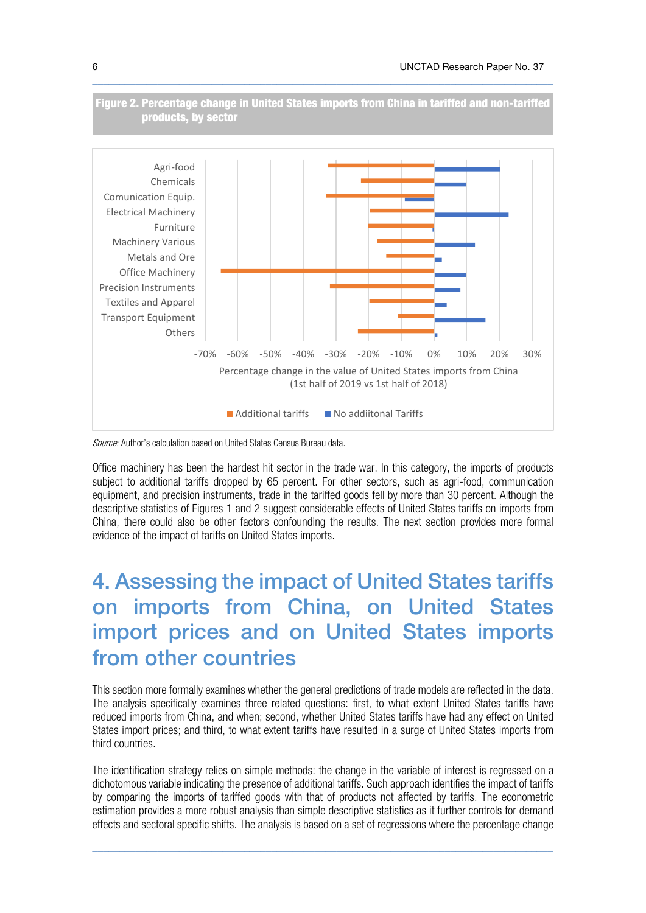

 $\_$  , and the state of the state of the state of the state of the state of the state of the state of the state of the state of the state of the state of the state of the state of the state of the state of the state of the

Figure 2. Percentage change in United States imports from China in tariffed and non-tariffed

Source: Author's calculation based on United States Census Bureau data.

products, by sector

Office machinery has been the hardest hit sector in the trade war. In this category, the imports of products subject to additional tariffs dropped by 65 percent. For other sectors, such as agri-food, communication equipment, and precision instruments, trade in the tariffed goods fell by more than 30 percent. Although the descriptive statistics of Figures 1 and 2 suggest considerable effects of United States tariffs on imports from China, there could also be other factors confounding the results. The next section provides more formal evidence of the impact of tariffs on United States imports.

# 4. Assessing the impact of United States tariffs on imports from China, on United States import prices and on United States imports from other countries

This section more formally examines whether the general predictions of trade models are reflected in the data. The analysis specifically examines three related questions: first, to what extent United States tariffs have reduced imports from China, and when; second, whether United States tariffs have had any effect on United States import prices; and third, to what extent tariffs have resulted in a surge of United States imports from third countries.

The identification strategy relies on simple methods: the change in the variable of interest is regressed on a dichotomous variable indicating the presence of additional tariffs. Such approach identifies the impact of tariffs by comparing the imports of tariffed goods with that of products not affected by tariffs. The econometric estimation provides a more robust analysis than simple descriptive statistics as it further controls for demand effects and sectoral specific shifts. The analysis is based on a set of regressions where the percentage change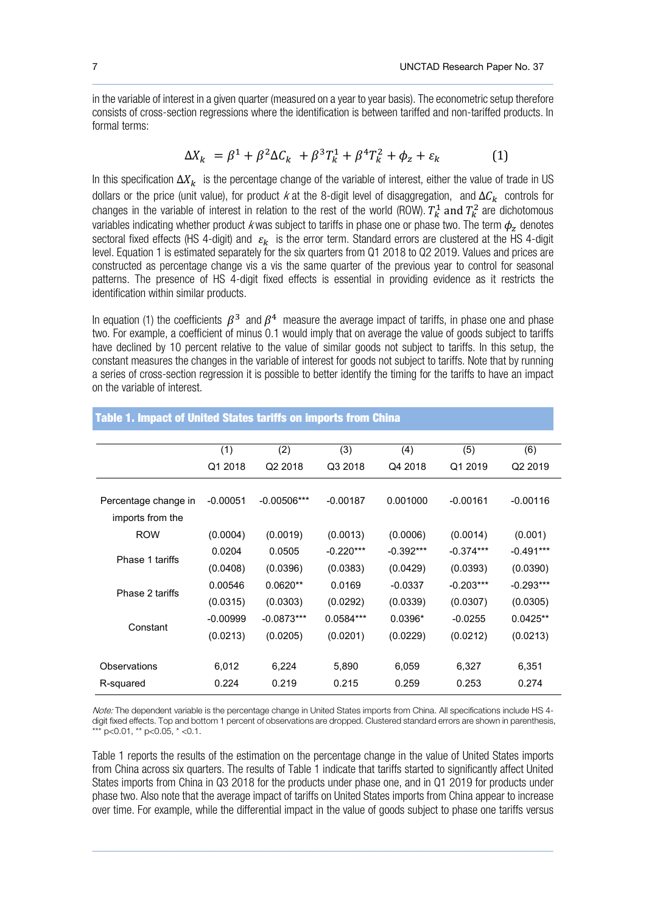in the variable of interest in a given quarter (measured on a year to year basis). The econometric setup therefore consists of cross-section regressions where the identification is between tariffed and non-tariffed products. In formal terms:

 $\_$  , and the state of the state of the state of the state of the state of the state of the state of the state of the state of the state of the state of the state of the state of the state of the state of the state of the

$$
\Delta X_k = \beta^1 + \beta^2 \Delta C_k + \beta^3 T_k^1 + \beta^4 T_k^2 + \phi_z + \varepsilon_k \tag{1}
$$

In this specification  $\Delta X_k$  is the percentage change of the variable of interest, either the value of trade in US dollars or the price (unit value), for product k at the 8-digit level of disaggregation, and  $\Delta C_k$  controls for changes in the variable of interest in relation to the rest of the world (ROW).  $T_k^1$  and  $T_k^2$  are dichotomous variables indicating whether product k was subject to tariffs in phase one or phase two. The term  $\phi_z$  denotes sectoral fixed effects (HS 4-digit) and  $\varepsilon_k$  is the error term. Standard errors are clustered at the HS 4-digit level. Equation 1 is estimated separately for the six quarters from Q1 2018 to Q2 2019. Values and prices are constructed as percentage change vis a vis the same quarter of the previous year to control for seasonal patterns. The presence of HS 4-digit fixed effects is essential in providing evidence as it restricts the identification within similar products.

In equation (1) the coefficients  $\beta^3$  and  $\beta^4$  measure the average impact of tariffs, in phase one and phase two. For example, a coefficient of minus 0.1 would imply that on average the value of goods subject to tariffs have declined by 10 percent relative to the value of similar goods not subject to tariffs. In this setup, the constant measures the changes in the variable of interest for goods not subject to tariffs. Note that by running a series of cross-section regression it is possible to better identify the timing for the tariffs to have an impact on the variable of interest.

|                      | (1)        | (2)                 | (3)         | (4)         | (5)         | (6)         |
|----------------------|------------|---------------------|-------------|-------------|-------------|-------------|
|                      | Q1 2018    | Q <sub>2</sub> 2018 | Q3 2018     | Q4 2018     | Q1 2019     | Q2 2019     |
|                      |            |                     |             |             |             |             |
| Percentage change in | $-0.00051$ | $-0.00506***$       | $-0.00187$  | 0.001000    | $-0.00161$  | $-0.00116$  |
| imports from the     |            |                     |             |             |             |             |
| <b>ROW</b>           | (0.0004)   | (0.0019)            | (0.0013)    | (0.0006)    | (0.0014)    | (0.001)     |
| Phase 1 tariffs      | 0.0204     | 0.0505              | $-0.220***$ | $-0.392***$ | $-0.374***$ | $-0.491***$ |
|                      | (0.0408)   | (0.0396)            | (0.0383)    | (0.0429)    | (0.0393)    | (0.0390)    |
| Phase 2 tariffs      | 0.00546    | $0.0620**$          | 0.0169      | $-0.0337$   | $-0.203***$ | $-0.293***$ |
|                      | (0.0315)   | (0.0303)            | (0.0292)    | (0.0339)    | (0.0307)    | (0.0305)    |
| Constant             | $-0.00999$ | $-0.0873***$        | $0.0584***$ | $0.0396*$   | $-0.0255$   | $0.0425**$  |
|                      | (0.0213)   | (0.0205)            | (0.0201)    | (0.0229)    | (0.0212)    | (0.0213)    |
|                      |            |                     |             |             |             |             |
| Observations         | 6,012      | 6,224               | 5,890       | 6,059       | 6,327       | 6,351       |
| R-squared            | 0.224      | 0.219               | 0.215       | 0.259       | 0.253       | 0.274       |

Table 1. Impact of United States tariffs on imports from China

Note: The dependent variable is the percentage change in United States imports from China. All specifications include HS 4digit fixed effects. Top and bottom 1 percent of observations are dropped. Clustered standard errors are shown in parenthesis, \*\*\* p<0.01, \*\* p<0.05, \* <0.1.

Table 1 reports the results of the estimation on the percentage change in the value of United States imports from China across six quarters. The results of Table 1 indicate that tariffs started to significantly affect United States imports from China in Q3 2018 for the products under phase one, and in Q1 2019 for products under phase two. Also note that the average impact of tariffs on United States imports from China appear to increase over time. For example, while the differential impact in the value of goods subject to phase one tariffs versus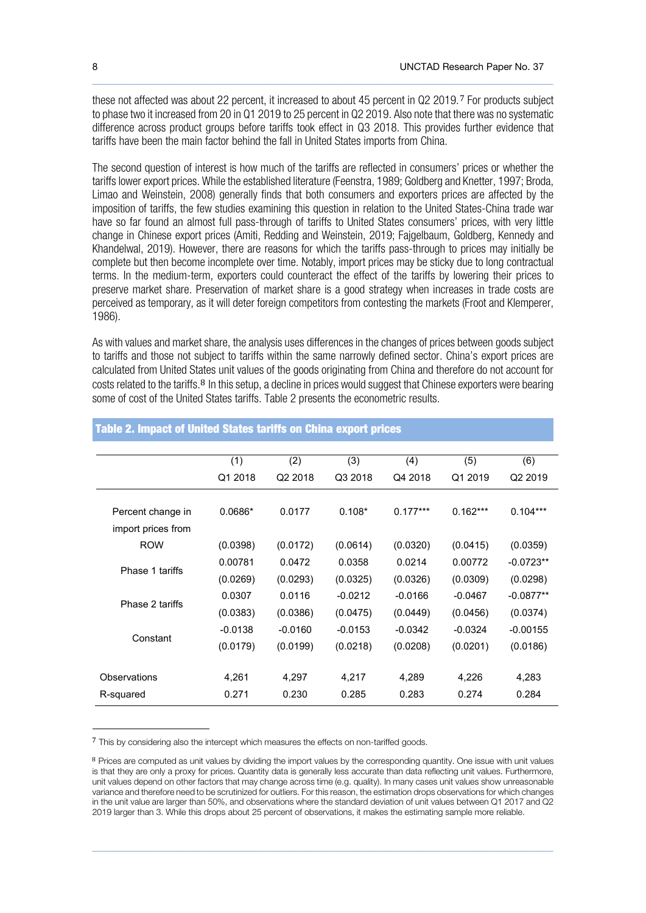these not affected was about 22 percent, it increased to about 45 percent in Q2 2019.[7](#page-7-0) For products subject to phase two it increased from 20 in Q1 2019 to 25 percent in Q2 2019. Also note that there was no systematic difference across product groups before tariffs took effect in Q3 2018. This provides further evidence that tariffs have been the main factor behind the fall in United States imports from China.

 $\_$  , and the state of the state of the state of the state of the state of the state of the state of the state of the state of the state of the state of the state of the state of the state of the state of the state of the

The second question of interest is how much of the tariffs are reflected in consumers' prices or whether the tariffs lower export prices. While the established literature (Feenstra, 1989; Goldberg and Knetter, 1997; Broda, Limao and Weinstein, 2008) generally finds that both consumers and exporters prices are affected by the imposition of tariffs, the few studies examining this question in relation to the United States-China trade war have so far found an almost full pass-through of tariffs to United States consumers' prices, with very little change in Chinese export prices (Amiti, Redding and Weinstein, 2019; Fajgelbaum, Goldberg, Kennedy and Khandelwal, 2019). However, there are reasons for which the tariffs pass-through to prices may initially be complete but then become incomplete over time. Notably, import prices may be sticky due to long contractual terms. In the medium-term, exporters could counteract the effect of the tariffs by lowering their prices to preserve market share. Preservation of market share is a good strategy when increases in trade costs are perceived as temporary, as it will deter foreign competitors from contesting the markets (Froot and Klemperer, 1986).

As with values and market share, the analysis uses differences in the changes of prices between goods subject to tariffs and those not subject to tariffs within the same narrowly defined sector. China's export prices are calculated from United States unit values of the goods originating from China and therefore do not account for costs related to the tariffs. <sup>[8](#page-7-1)</sup> In this setup, a decline in prices would suggest that Chinese exporters were bearing some of cost of the United States tariffs. Table 2 presents the econometric results.

|                    | (1)       | (2)                 | (3)       | (4)        | (5)        | (6)                 |
|--------------------|-----------|---------------------|-----------|------------|------------|---------------------|
|                    | Q1 2018   | Q <sub>2</sub> 2018 | Q3 2018   | Q4 2018    | Q1 2019    | Q <sub>2</sub> 2019 |
|                    |           |                     |           |            |            |                     |
| Percent change in  | $0.0686*$ | 0.0177              | $0.108*$  | $0.177***$ | $0.162***$ | $0.104***$          |
| import prices from |           |                     |           |            |            |                     |
| <b>ROW</b>         | (0.0398)  | (0.0172)            | (0.0614)  | (0.0320)   | (0.0415)   | (0.0359)            |
| Phase 1 tariffs    | 0.00781   | 0.0472              | 0.0358    | 0.0214     | 0.00772    | $-0.0723**$         |
|                    | (0.0269)  | (0.0293)            | (0.0325)  | (0.0326)   | (0.0309)   | (0.0298)            |
| Phase 2 tariffs    | 0.0307    | 0.0116              | $-0.0212$ | $-0.0166$  | $-0.0467$  | $-0.0877**$         |
|                    | (0.0383)  | (0.0386)            | (0.0475)  | (0.0449)   | (0.0456)   | (0.0374)            |
| Constant           | $-0.0138$ | $-0.0160$           | $-0.0153$ | $-0.0342$  | $-0.0324$  | $-0.00155$          |
|                    | (0.0179)  | (0.0199)            | (0.0218)  | (0.0208)   | (0.0201)   | (0.0186)            |
|                    |           |                     |           |            |            |                     |
| Observations       | 4,261     | 4,297               | 4,217     | 4,289      | 4,226      | 4,283               |
| R-squared          | 0.271     | 0.230               | 0.285     | 0.283      | 0.274      | 0.284               |

#### Table 2. Impact of United States tariffs on China export prices

<span id="page-7-0"></span><sup>7</sup> This by considering also the intercept which measures the effects on non-tariffed goods.

<span id="page-7-1"></span><sup>&</sup>lt;sup>8</sup> Prices are computed as unit values by dividing the import values by the corresponding quantity. One issue with unit values is that they are only a proxy for prices. Quantity data is generally less accurate than data reflecting unit values. Furthermore, unit values depend on other factors that may change across time (e.g. quality). In many cases unit values show unreasonable variance and therefore need to be scrutinized for outliers. For this reason, the estimation drops observations for which changes in the unit value are larger than 50%, and observations where the standard deviation of unit values between Q1 2017 and Q2 2019 larger than 3. While this drops about 25 percent of observations, it makes the estimating sample more reliable.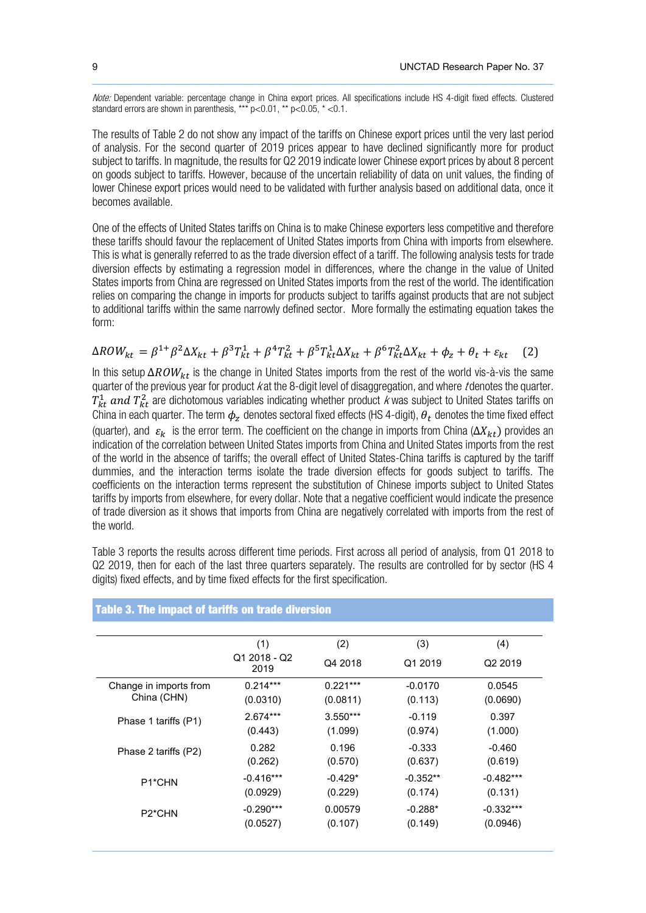Note: Dependent variable: percentage change in China export prices. All specifications include HS 4-digit fixed effects. Clustered standard errors are shown in parenthesis, \*\*\*  $p < 0.01$ , \*\*  $p < 0.05$ , \* <0.1.

 $\_$  , and the state of the state of the state of the state of the state of the state of the state of the state of the state of the state of the state of the state of the state of the state of the state of the state of the

The results of Table 2 do not show any impact of the tariffs on Chinese export prices until the very last period of analysis. For the second quarter of 2019 prices appear to have declined significantly more for product subject to tariffs. In magnitude, the results for Q2 2019 indicate lower Chinese export prices by about 8 percent on goods subject to tariffs. However, because of the uncertain reliability of data on unit values, the finding of lower Chinese export prices would need to be validated with further analysis based on additional data, once it becomes available.

One of the effects of United States tariffs on China is to make Chinese exporters less competitive and therefore these tariffs should favour the replacement of United States imports from China with imports from elsewhere. This is what is generally referred to as the trade diversion effect of a tariff. The following analysis tests for trade diversion effects by estimating a regression model in differences, where the change in the value of United States imports from China are regressed on United States imports from the rest of the world. The identification relies on comparing the change in imports for products subject to tariffs against products that are not subject to additional tariffs within the same narrowly defined sector. More formally the estimating equation takes the form:

$$
\Delta ROW_{kt} = \beta^{1} \beta^{2} \Delta X_{kt} + \beta^{3} T_{kt}^{1} + \beta^{4} T_{kt}^{2} + \beta^{5} T_{kt}^{1} \Delta X_{kt} + \beta^{6} T_{kt}^{2} \Delta X_{kt} + \phi_{z} + \theta_{t} + \varepsilon_{kt}
$$
 (2)

In this setup  $\Delta ROW_{kt}$  is the change in United States imports from the rest of the world vis-à-vis the same quarter of the previous year for product k at the 8-digit level of disaggregation, and where t denotes the quarter.  $T_{kt}^1$  and  $T_{kt}^2$  are dichotomous variables indicating whether product k was subject to United States tariffs on China in each quarter. The term  $\phi_z$  denotes sectoral fixed effects (HS 4-digit),  $\theta_t$  denotes the time fixed effect (quarter), and  $\varepsilon_k$  is the error term. The coefficient on the change in imports from China ( $\Delta X_{kt}$ ) provides an indication of the correlation between United States imports from China and United States imports from the rest of the world in the absence of tariffs; the overall effect of United States-China tariffs is captured by the tariff dummies, and the interaction terms isolate the trade diversion effects for goods subject to tariffs. The coefficients on the interaction terms represent the substitution of Chinese imports subject to United States tariffs by imports from elsewhere, for every dollar. Note that a negative coefficient would indicate the presence of trade diversion as it shows that imports from China are negatively correlated with imports from the rest of the world.

Table 3 reports the results across different time periods. First across all period of analysis, from Q1 2018 to Q2 2019, then for each of the last three quarters separately. The results are controlled for by sector (HS 4 digits) fixed effects, and by time fixed effects for the first specification.

|                                       | (1)                  | (2)        | (3)        | (4)                 |
|---------------------------------------|----------------------|------------|------------|---------------------|
|                                       | Q1 2018 - Q2<br>2019 | Q4 2018    | Q1 2019    | Q <sub>2</sub> 2019 |
| Change in imports from<br>China (CHN) | $0.214***$           | $0.221***$ | $-0.0170$  | 0.0545              |
|                                       | (0.0310)             | (0.0811)   | (0.113)    | (0.0690)            |
| Phase 1 tariffs (P1)                  | $2.674***$           | $3.550***$ | $-0.119$   | 0.397               |
|                                       | (0.443)              | (1.099)    | (0.974)    | (1.000)             |
| Phase 2 tariffs (P2)                  | 0.282                | 0.196      | $-0.333$   | $-0.460$            |
|                                       | (0.262)              | (0.570)    | (0.637)    | (0.619)             |
| P <sub>1</sub> *CHN                   | $-0.416***$          | $-0.429*$  | $-0.352**$ | $-0.482***$         |
|                                       | (0.0929)             | (0.229)    | (0.174)    | (0.131)             |
| P <sub>2</sub> *CHN                   | $-0.290***$          | 0.00579    | $-0.288*$  | $-0.332***$         |
|                                       | (0.0527)             | (0.107)    | (0.149)    | (0.0946)            |

 $\_$  , and the state of the state of the state of the state of the state of the state of the state of the state of the state of the state of the state of the state of the state of the state of the state of the state of the

#### Table 3. The impact of tariffs on trade diversion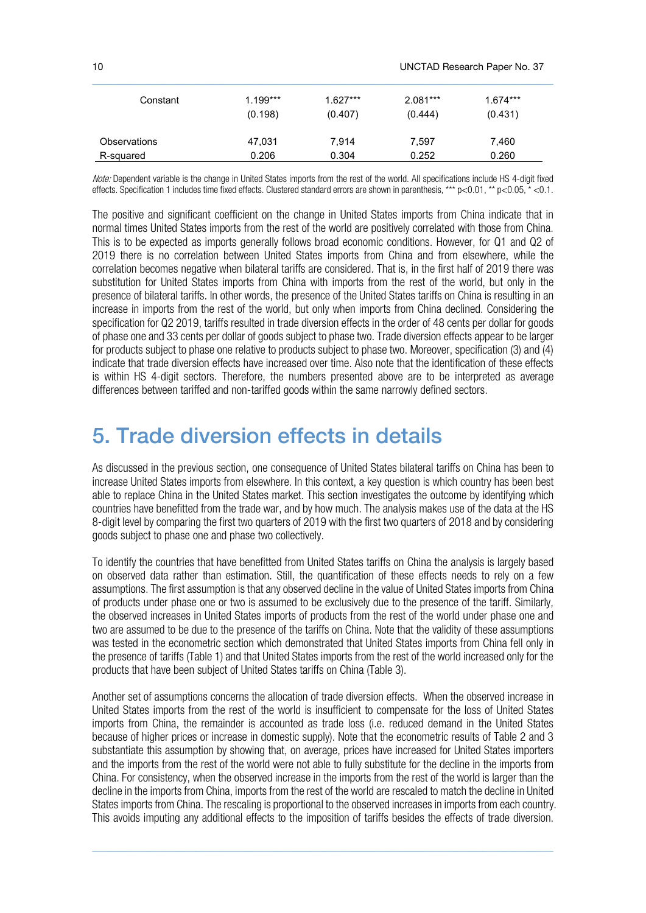| Constant            | $1.199***$ | $1.627***$ | $2.081***$ | $1.674***$ |
|---------------------|------------|------------|------------|------------|
|                     | (0.198)    | (0.407)    | (0.444)    | (0.431)    |
| <b>Observations</b> | 47,031     | 7.914      | 7,597      | 7,460      |
| R-squared           | 0.206      | 0.304      | 0.252      | 0.260      |

Note: Dependent variable is the change in United States imports from the rest of the world. All specifications include HS 4-digit fixed effects. Specification 1 includes time fixed effects. Clustered standard errors are shown in parenthesis, \*\*\* p<0.01, \*\* p<0.05, \* <0.1.

The positive and significant coefficient on the change in United States imports from China indicate that in normal times United States imports from the rest of the world are positively correlated with those from China. This is to be expected as imports generally follows broad economic conditions. However, for Q1 and Q2 of 2019 there is no correlation between United States imports from China and from elsewhere, while the correlation becomes negative when bilateral tariffs are considered. That is, in the first half of 2019 there was substitution for United States imports from China with imports from the rest of the world, but only in the presence of bilateral tariffs. In other words, the presence of the United States tariffs on China is resulting in an increase in imports from the rest of the world, but only when imports from China declined. Considering the specification for Q2 2019, tariffs resulted in trade diversion effects in the order of 48 cents per dollar for goods of phase one and 33 cents per dollar of goods subject to phase two. Trade diversion effects appear to be larger for products subject to phase one relative to products subject to phase two. Moreover, specification (3) and (4) indicate that trade diversion effects have increased over time. Also note that the identification of these effects is within HS 4-digit sectors. Therefore, the numbers presented above are to be interpreted as average differences between tariffed and non-tariffed goods within the same narrowly defined sectors.

### 5. Trade diversion effects in details

As discussed in the previous section, one consequence of United States bilateral tariffs on China has been to increase United States imports from elsewhere. In this context, a key question is which country has been best able to replace China in the United States market. This section investigates the outcome by identifying which countries have benefitted from the trade war, and by how much. The analysis makes use of the data at the HS 8-digit level by comparing the first two quarters of 2019 with the first two quarters of 2018 and by considering goods subject to phase one and phase two collectively.

To identify the countries that have benefitted from United States tariffs on China the analysis is largely based on observed data rather than estimation. Still, the quantification of these effects needs to rely on a few assumptions. The first assumption is that any observed decline in the value of United Statesimports from China of products under phase one or two is assumed to be exclusively due to the presence of the tariff. Similarly, the observed increases in United States imports of products from the rest of the world under phase one and two are assumed to be due to the presence of the tariffs on China. Note that the validity of these assumptions was tested in the econometric section which demonstrated that United States imports from China fell only in the presence of tariffs (Table 1) and that United States imports from the rest of the world increased only for the products that have been subject of United States tariffs on China (Table 3).

Another set of assumptions concerns the allocation of trade diversion effects. When the observed increase in United States imports from the rest of the world is insufficient to compensate for the loss of United States imports from China, the remainder is accounted as trade loss (i.e. reduced demand in the United States because of higher prices or increase in domestic supply). Note that the econometric results of Table 2 and 3 substantiate this assumption by showing that, on average, prices have increased for United States importers and the imports from the rest of the world were not able to fully substitute for the decline in the imports from China. For consistency, when the observed increase in the imports from the rest of the world is larger than the decline in the imports from China, imports from the rest of the world are rescaled to match the decline in United States imports from China. The rescaling is proportional to the observed increases in imports from each country. This avoids imputing any additional effects to the imposition of tariffs besides the effects of trade diversion.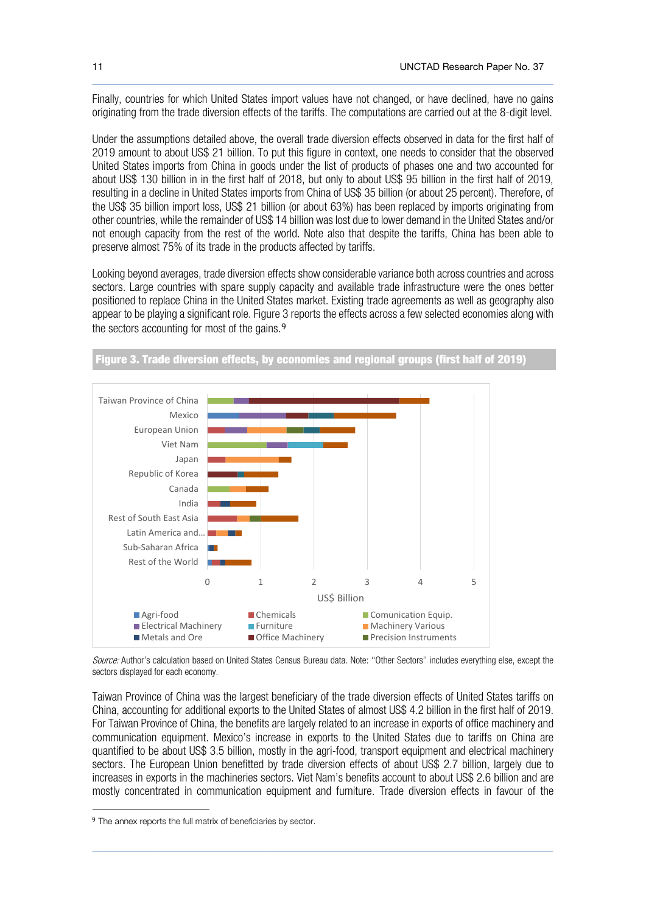Finally, countries for which United States import values have not changed, or have declined, have no gains originating from the trade diversion effects of the tariffs. The computations are carried out at the 8-digit level.

 $\_$  , and the state of the state of the state of the state of the state of the state of the state of the state of the state of the state of the state of the state of the state of the state of the state of the state of the

Under the assumptions detailed above, the overall trade diversion effects observed in data for the first half of 2019 amount to about US\$ 21 billion. To put this figure in context, one needs to consider that the observed United States imports from China in goods under the list of products of phases one and two accounted for about US\$ 130 billion in in the first half of 2018, but only to about US\$ 95 billion in the first half of 2019, resulting in a decline in United States imports from China of US\$ 35 billion (or about 25 percent). Therefore, of the US\$ 35 billion import loss, US\$ 21 billion (or about 63%) has been replaced by imports originating from other countries, while the remainder of US\$ 14 billion was lost due to lower demand in the United States and/or not enough capacity from the rest of the world. Note also that despite the tariffs, China has been able to preserve almost 75% of its trade in the products affected by tariffs.

Looking beyond averages, trade diversion effects show considerable variance both across countries and across sectors. Large countries with spare supply capacity and available trade infrastructure were the ones better positioned to replace China in the United States market. Existing trade agreements as well as geography also appear to be playing a significant role. Figure 3 reports the effects across a few selected economies along with the sectors accounting for most of the gains.<sup>[9](#page-10-0)</sup>



Figure 3. Trade diversion effects, by economies and regional groups (first half of 2019)

Source: Author's calculation based on United States Census Bureau data. Note: "Other Sectors" includes everything else, except the sectors displayed for each economy.

Taiwan Province of China was the largest beneficiary of the trade diversion effects of United States tariffs on China, accounting for additional exports to the United States of almost US\$ 4.2 billion in the first half of 2019. For Taiwan Province of China, the benefits are largely related to an increase in exports of office machinery and communication equipment. Mexico's increase in exports to the United States due to tariffs on China are quantified to be about US\$ 3.5 billion, mostly in the agri-food, transport equipment and electrical machinery sectors. The European Union benefitted by trade diversion effects of about US\$ 2.7 billion, largely due to increases in exports in the machineries sectors. Viet Nam's benefits account to about US\$ 2.6 billion and are mostly concentrated in communication equipment and furniture. Trade diversion effects in favour of the

<span id="page-10-0"></span><sup>9</sup> The annex reports the full matrix of beneficiaries by sector.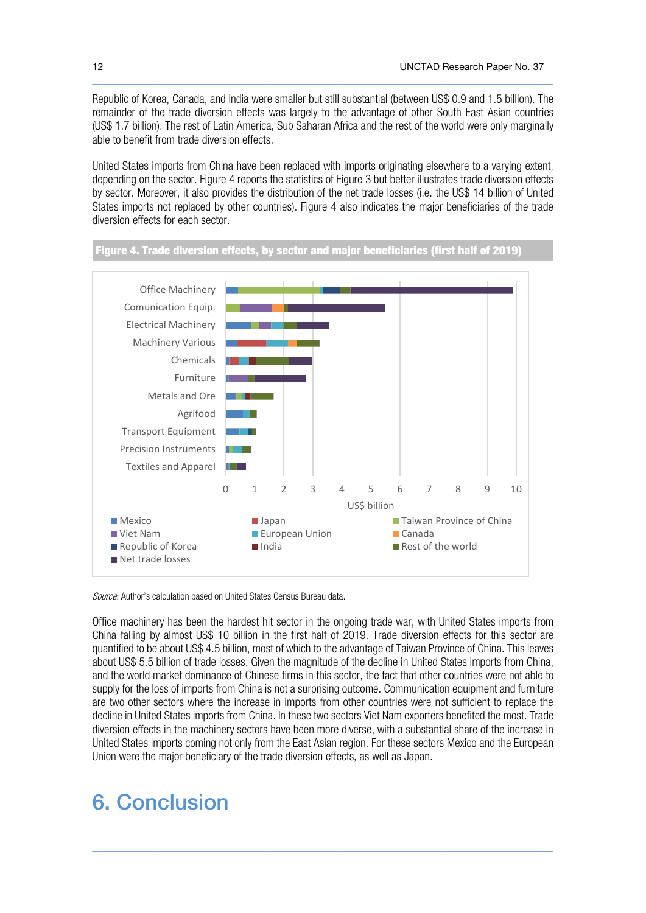Republic of Korea, Canada, and India were smaller but still substantial (between US\$ 0.9 and 1.5 billion). The remainder of the trade diversion effects was largely to the advantage of other South East Asian countries (US\$ 1.7 billion). The rest of Latin America, Sub Saharan Africa and the rest of the world were only marginally able to benefit from trade diversion effects.

 $\_$  , and the state of the state of the state of the state of the state of the state of the state of the state of the state of the state of the state of the state of the state of the state of the state of the state of the

United States imports from China have been replaced with imports originating elsewhere to a varying extent, depending on the sector. Figure 4 reports the statistics of Figure 3 but better illustrates trade diversion effects by sector. Moreover, it also provides the distribution of the net trade losses (i.e. the US\$ 14 billion of United States imports not replaced by other countries). Figure 4 also indicates the major beneficiaries of the trade diversion effects for each sector.





Source: Author's calculation based on United States Census Bureau data.

Office machinery has been the hardest hit sector in the ongoing trade war, with United States imports from China falling by almost US\$ 10 billion in the first half of 2019. Trade diversion effects for this sector are quantified to be about US\$ 4.5 billion, most of which to the advantage of Taiwan Province of China. This leaves about US\$ 5.5 billion of trade losses. Given the magnitude of the decline in United States imports from China, and the world market dominance of Chinese firms in this sector, the fact that other countries were not able to supply for the loss of imports from China is not a surprising outcome. Communication equipment and furniture are two other sectors where the increase in imports from other countries were not sufficient to replace the decline in United States imports from China. In these two sectors Viet Nam exporters benefited the most. Trade diversion effects in the machinery sectors have been more diverse, with a substantial share of the increase in United States imports coming not only from the East Asian region. For these sectors Mexico and the European Union were the major beneficiary of the trade diversion effects, as well as Japan.

 $\_$  , and the state of the state of the state of the state of the state of the state of the state of the state of the state of the state of the state of the state of the state of the state of the state of the state of the

# 6. Conclusion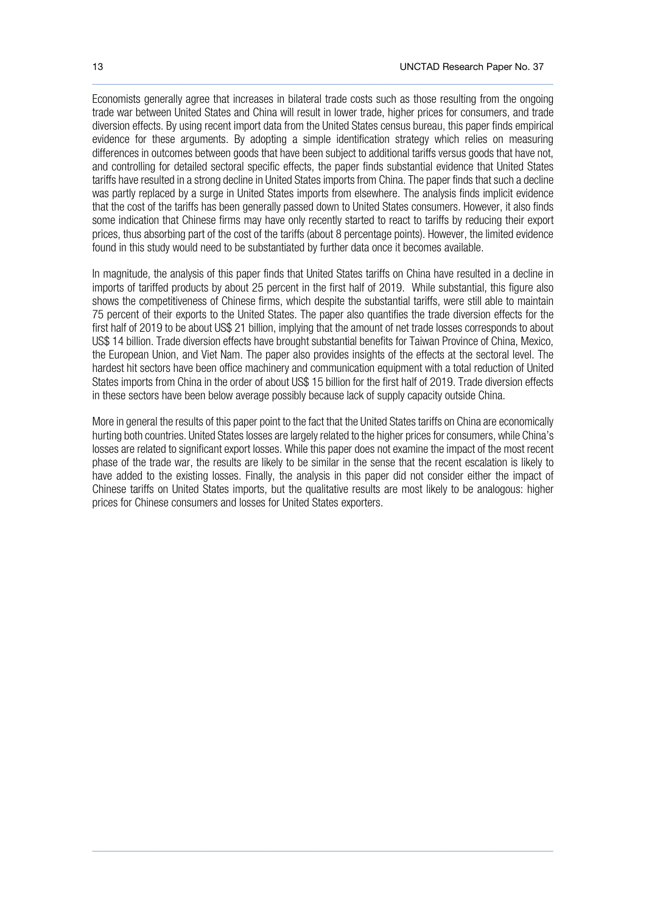Economists generally agree that increases in bilateral trade costs such as those resulting from the ongoing trade war between United States and China will result in lower trade, higher prices for consumers, and trade diversion effects. By using recent import data from the United States census bureau, this paper finds empirical evidence for these arguments. By adopting a simple identification strategy which relies on measuring differences in outcomes between goods that have been subject to additional tariffs versus goods that have not, and controlling for detailed sectoral specific effects, the paper finds substantial evidence that United States tariffs have resulted in a strong decline in United States imports from China. The paper finds that such a decline was partly replaced by a surge in United States imports from elsewhere. The analysis finds implicit evidence that the cost of the tariffs has been generally passed down to United States consumers. However, it also finds some indication that Chinese firms may have only recently started to react to tariffs by reducing their export prices, thus absorbing part of the cost of the tariffs (about 8 percentage points). However, the limited evidence found in this study would need to be substantiated by further data once it becomes available.

 $\_$  , and the set of the set of the set of the set of the set of the set of the set of the set of the set of the set of the set of the set of the set of the set of the set of the set of the set of the set of the set of th

In magnitude, the analysis of this paper finds that United States tariffs on China have resulted in a decline in imports of tariffed products by about 25 percent in the first half of 2019. While substantial, this figure also shows the competitiveness of Chinese firms, which despite the substantial tariffs, were still able to maintain 75 percent of their exports to the United States. The paper also quantifies the trade diversion effects for the first half of 2019 to be about US\$ 21 billion, implying that the amount of net trade losses corresponds to about US\$ 14 billion. Trade diversion effects have brought substantial benefits for Taiwan Province of China, Mexico, the European Union, and Viet Nam. The paper also provides insights of the effects at the sectoral level. The hardest hit sectors have been office machinery and communication equipment with a total reduction of United States imports from China in the order of about US\$ 15 billion for the first half of 2019. Trade diversion effects in these sectors have been below average possibly because lack of supply capacity outside China.

More in general the results of this paper point to the fact that the United Statestariffs on China are economically hurting both countries. United States losses are largely related to the higher prices for consumers, while China's losses are related to significant export losses. While this paper does not examine the impact of the most recent phase of the trade war, the results are likely to be similar in the sense that the recent escalation is likely to have added to the existing losses. Finally, the analysis in this paper did not consider either the impact of Chinese tariffs on United States imports, but the qualitative results are most likely to be analogous: higher prices for Chinese consumers and losses for United States exporters.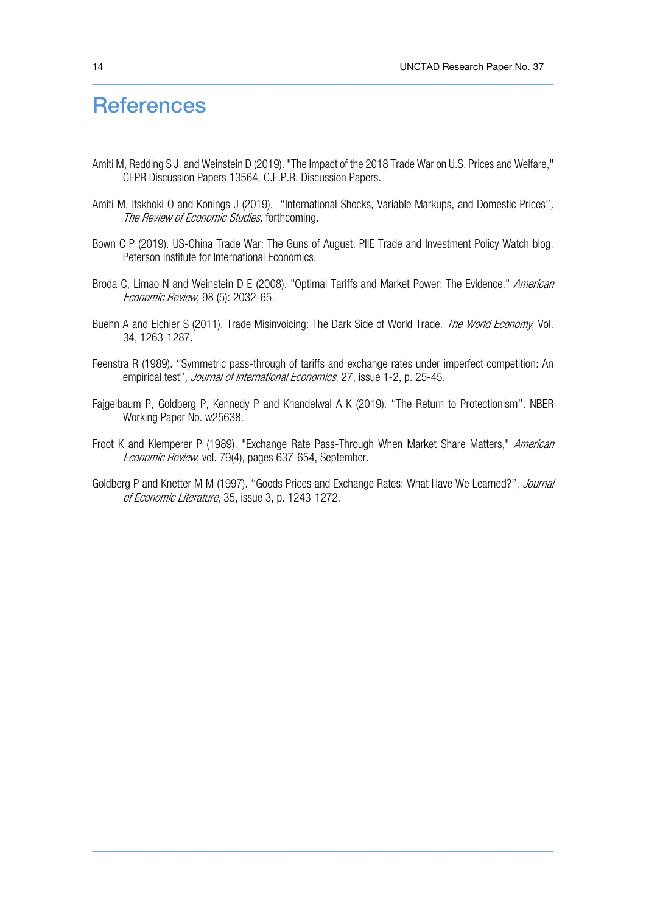# **References**

Amiti M, Redding S J. and Weinstein D (2019). "The Impact of the 2018 Trade War on U.S. Prices and Welfare," CEPR Discussion Papers 13564, C.E.P.R. Discussion Papers.

 $\_$  , and the set of the set of the set of the set of the set of the set of the set of the set of the set of the set of the set of the set of the set of the set of the set of the set of the set of the set of the set of th

- Amiti M, Itskhoki O and Konings J (2019). "International Shocks, Variable Markups, and Domestic Prices", The Review of Economic Studies, forthcoming.
- Bown C P (2019). US-China Trade War: The Guns of August. PIIE Trade and Investment Policy Watch blog, Peterson Institute for International Economics.
- Broda C, Limao N and Weinstein D E (2008). "Optimal Tariffs and Market Power: The Evidence." American Economic Review, 98 (5): 2032-65.
- Buehn A and Eichler S (2011). Trade Misinvoicing: The Dark Side of World Trade. The World Economy, Vol. 34, 1263-1287.
- Feenstra R (1989). ''Symmetric pass-through of tariffs and exchange rates under imperfect competition: An empirical test", *Journal of International Economics*, 27, issue 1-2, p. 25-45.
- Fajgelbaum P, Goldberg P, Kennedy P and Khandelwal A K (2019). ''The Return to Protectionism''. NBER Working Paper No. w25638.
- Froot K and Klemperer P (1989). "Exchange Rate Pass-Through When Market Share Matters," American Economic Review, vol. 79(4), pages 637-654, September.
- Goldberg P and Knetter M M (1997). "Goods Prices and Exchange Rates: What Have We Learned?", Journal of Economic Literature, 35, issue 3, p. 1243-1272.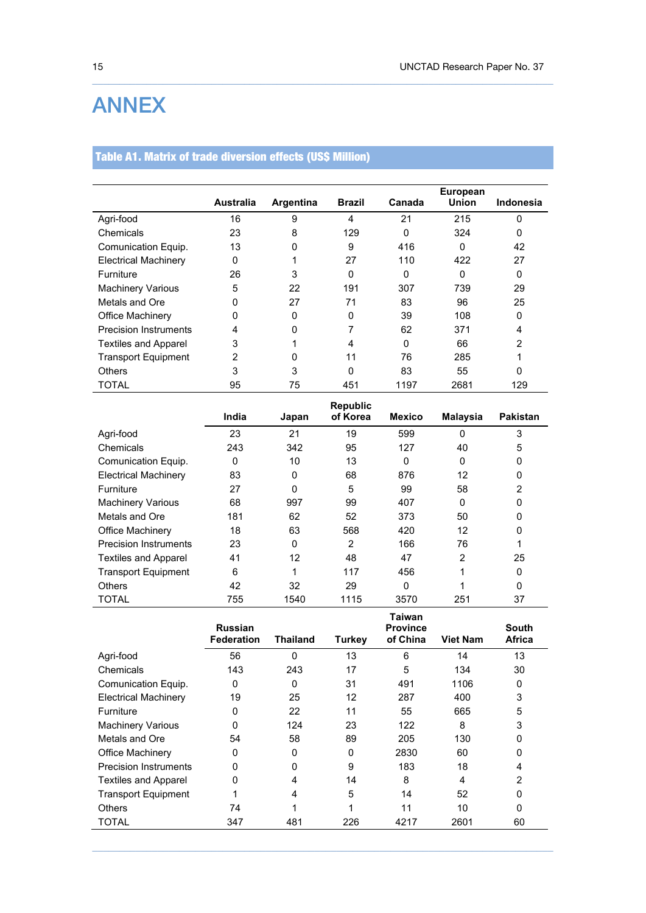# ANNEX

### Table A1. Matrix of trade diversion effects (US\$ Million)

|                              |                  |           |                |          | <b>European</b> |                  |
|------------------------------|------------------|-----------|----------------|----------|-----------------|------------------|
|                              | <b>Australia</b> | Argentina | <b>Brazil</b>  | Canada   | Union           | <b>Indonesia</b> |
| Agri-food                    | 16               | 9         | $\overline{4}$ | 21       | 215             | $\Omega$         |
| Chemicals                    | 23               | 8         | 129            | 0        | 324             | 0                |
| Comunication Equip.          | 13               | 0         | 9              | 416      | 0               | 42               |
| <b>Electrical Machinery</b>  | 0                |           | 27             | 110      | 422             | 27               |
| Furniture                    | 26               | 3         | 0              | 0        | 0               | 0                |
| <b>Machinery Various</b>     | 5                | 22        | 191            | 307      | 739             | 29               |
| Metals and Ore               | O                | 27        | 71             | 83       | 96              | 25               |
| Office Machinery             | 0                | 0         | 0              | 39       | 108             | 0                |
| <b>Precision Instruments</b> | 4                | 0         | 7              | 62       | 371             | 4                |
| <b>Textiles and Apparel</b>  | 3                |           | 4              | $\Omega$ | 66              | $\overline{2}$   |
| <b>Transport Equipment</b>   | 2                | 0         | 11             | 76       | 285             |                  |
| <b>Others</b>                | 3                | 3         | 0              | 83       | 55              | $\Omega$         |
| TOTAL                        | 95               | 75        | 451            | 1197     | 2681            | 129              |

 $\_$  , and the set of the set of the set of the set of the set of the set of the set of the set of the set of the set of the set of the set of the set of the set of the set of the set of the set of the set of the set of th

|                              |       |          | <b>Republic</b> |               |          |                 |
|------------------------------|-------|----------|-----------------|---------------|----------|-----------------|
|                              | India | Japan    | of Korea        | <b>Mexico</b> | Malaysia | <b>Pakistan</b> |
| Agri-food                    | 23    | 21       | 19              | 599           | 0        | 3               |
| Chemicals                    | 243   | 342      | 95              | 127           | 40       | 5               |
| Comunication Equip.          | 0     | 10       | 13              | 0             | 0        | 0               |
| <b>Electrical Machinery</b>  | 83    | 0        | 68              | 876           | 12       | 0               |
| Furniture                    | 27    | $\Omega$ | 5               | 99            | 58       | 2               |
| <b>Machinery Various</b>     | 68    | 997      | 99              | 407           | 0        | 0               |
| Metals and Ore               | 181   | 62       | 52              | 373           | 50       | 0               |
| Office Machinery             | 18    | 63       | 568             | 420           | 12       | 0               |
| <b>Precision Instruments</b> | 23    | $\Omega$ | $\overline{2}$  | 166           | 76       |                 |
| <b>Textiles and Apparel</b>  | 41    | 12       | 48              | 47            | 2        | 25              |
| <b>Transport Equipment</b>   | 6     |          | 117             | 456           |          | 0               |
| <b>Others</b>                | 42    | 32       | 29              | $\Omega$      |          | 0               |
| TOTAL                        | 755   | 1540     | 1115            | 3570          | 251      | 37              |

|                              | <b>Russian</b>    |          |               | Taiwan<br><b>Province</b> |                 | South         |
|------------------------------|-------------------|----------|---------------|---------------------------|-----------------|---------------|
|                              | <b>Federation</b> | Thailand | <b>Turkey</b> | of China                  | <b>Viet Nam</b> | <b>Africa</b> |
| Agri-food                    | 56                | $\Omega$ | 13            | 6                         | 14              | 13            |
| Chemicals                    | 143               | 243      | 17            | 5                         | 134             | 30            |
| Comunication Equip.          | 0                 | $\Omega$ | 31            | 491                       | 1106            | 0             |
| <b>Electrical Machinery</b>  | 19                | 25       | 12            | 287                       | 400             | 3             |
| Furniture                    | 0                 | 22       | 11            | 55                        | 665             | 5             |
| <b>Machinery Various</b>     | U                 | 124      | 23            | 122                       | 8               | 3             |
| Metals and Ore               | 54                | 58       | 89            | 205                       | 130             | 0             |
| Office Machinery             | 0                 | 0        | 0             | 2830                      | 60              | 0             |
| <b>Precision Instruments</b> | U                 | U        | 9             | 183                       | 18              | 4             |
| <b>Textiles and Apparel</b>  | 0                 | 4        | 14            | 8                         | 4               | 2             |
| <b>Transport Equipment</b>   |                   | 4        | 5             | 14                        | 52              | 0             |
| <b>Others</b>                | 74                |          | 4             | 11                        | 10              | 0             |
| TOTAL                        | 347               | 481      | 226           | 4217                      | 2601            | 60            |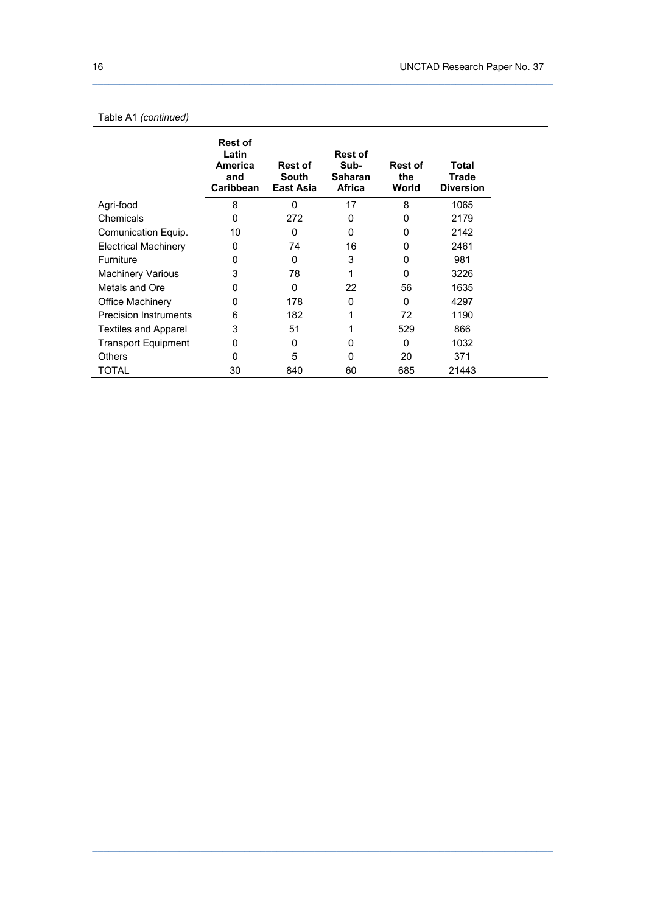#### Table A1 *(continued)*

|                              | <b>Rest of</b><br>Latin<br>America<br>and<br>Caribbean | <b>Rest of</b><br>South<br><b>East Asia</b> | <b>Rest of</b><br>Sub-<br><b>Saharan</b><br>Africa | <b>Rest of</b><br>the<br>World | Total<br><b>Trade</b><br><b>Diversion</b> |
|------------------------------|--------------------------------------------------------|---------------------------------------------|----------------------------------------------------|--------------------------------|-------------------------------------------|
| Agri-food                    | 8                                                      | $\mathbf{0}$                                | 17                                                 | 8                              | 1065                                      |
| Chemicals                    | 0                                                      | 272                                         | 0                                                  | 0                              | 2179                                      |
| Comunication Equip.          | 10                                                     | 0                                           | 0                                                  | 0                              | 2142                                      |
| <b>Electrical Machinery</b>  | 0                                                      | 74                                          | 16                                                 | $\Omega$                       | 2461                                      |
| <b>Furniture</b>             | 0                                                      | $\Omega$                                    | 3                                                  | $\Omega$                       | 981                                       |
| <b>Machinery Various</b>     | 3                                                      | 78                                          | 1                                                  | $\Omega$                       | 3226                                      |
| Metals and Ore               | 0                                                      | $\Omega$                                    | 22                                                 | 56                             | 1635                                      |
| Office Machinery             | 0                                                      | 178                                         | 0                                                  | $\Omega$                       | 4297                                      |
| <b>Precision Instruments</b> | 6                                                      | 182                                         | 1                                                  | 72                             | 1190                                      |
| <b>Textiles and Apparel</b>  | 3                                                      | 51                                          |                                                    | 529                            | 866                                       |
| Transport Equipment          | 0                                                      | 0                                           | 0                                                  | 0                              | 1032                                      |
| <b>Others</b>                | 0                                                      | 5                                           | 0                                                  | 20                             | 371                                       |
| TOTAL                        | 30                                                     | 840                                         | 60                                                 | 685                            | 21443                                     |

 $\_$  , and the state of the state of the state of the state of the state of the state of the state of the state of the state of the state of the state of the state of the state of the state of the state of the state of the

 $\_$  , and the set of the set of the set of the set of the set of the set of the set of the set of the set of the set of the set of the set of the set of the set of the set of the set of the set of the set of the set of th